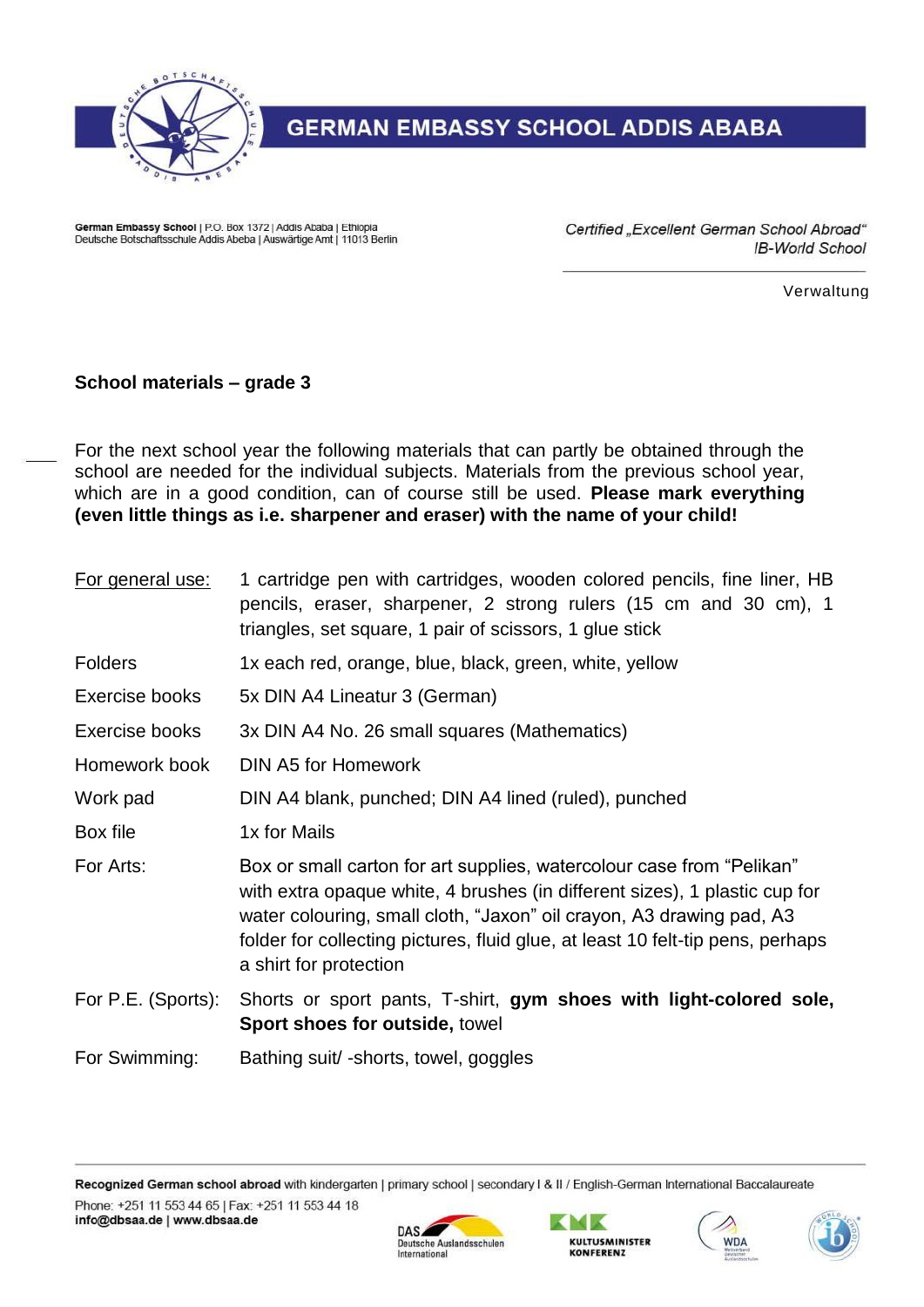

## **GERMAN EMBASSY SCHOOL ADDIS ABABA**

German Embassy School | P.O. Box 1372 | Addis Ababa | Ethiopia Deutsche Botschaftsschule Addis Abeba | Auswärtige Amt | 11013 Berlin Certified "Excellent German School Abroad" IB-World School

Verwaltung

## **School materials – grade 3**

For the next school year the following materials that can partly be obtained through the school are needed for the individual subjects. Materials from the previous school year, which are in a good condition, can of course still be used. **Please mark everything (even little things as i.e. sharpener and eraser) with the name of your child!**

| For general use:   | 1 cartridge pen with cartridges, wooden colored pencils, fine liner, HB<br>pencils, eraser, sharpener, 2 strong rulers (15 cm and 30 cm), 1<br>triangles, set square, 1 pair of scissors, 1 glue stick                                                                                                                                  |
|--------------------|-----------------------------------------------------------------------------------------------------------------------------------------------------------------------------------------------------------------------------------------------------------------------------------------------------------------------------------------|
| <b>Folders</b>     | 1x each red, orange, blue, black, green, white, yellow                                                                                                                                                                                                                                                                                  |
| Exercise books     | 5x DIN A4 Lineatur 3 (German)                                                                                                                                                                                                                                                                                                           |
| Exercise books     | 3x DIN A4 No. 26 small squares (Mathematics)                                                                                                                                                                                                                                                                                            |
| Homework book      | <b>DIN A5 for Homework</b>                                                                                                                                                                                                                                                                                                              |
| Work pad           | DIN A4 blank, punched; DIN A4 lined (ruled), punched                                                                                                                                                                                                                                                                                    |
| Box file           | 1x for Mails                                                                                                                                                                                                                                                                                                                            |
| For Arts:          | Box or small carton for art supplies, watercolour case from "Pelikan"<br>with extra opaque white, 4 brushes (in different sizes), 1 plastic cup for<br>water colouring, small cloth, "Jaxon" oil crayon, A3 drawing pad, A3<br>folder for collecting pictures, fluid glue, at least 10 felt-tip pens, perhaps<br>a shirt for protection |
| For P.E. (Sports): | Shorts or sport pants, T-shirt, gym shoes with light-colored sole,<br>Sport shoes for outside, towel                                                                                                                                                                                                                                    |
| For Swimming:      | Bathing suit/-shorts, towel, goggles                                                                                                                                                                                                                                                                                                    |

Recognized German school abroad with kindergarten | primary school | secondary I & II / English-German International Baccalaureate Phone: +251 11 553 44 65 | Fax: +251 11 553 44 18 info@dbsaa.de | www.dbsaa.de